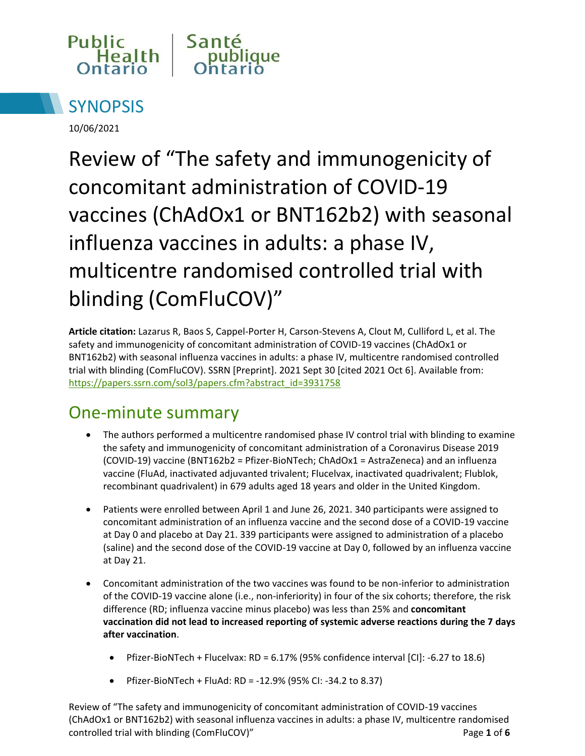



10/06/2021

Review of "The safety and immunogenicity of concomitant administration of COVID-19 vaccines (ChAdOx1 or BNT162b2) with seasonal influenza vaccines in adults: a phase IV, multicentre randomised controlled trial with blinding (ComFluCOV)"

**Article citation:** Lazarus R, Baos S, Cappel-Porter H, Carson-Stevens A, Clout M, Culliford L, et al. The safety and immunogenicity of concomitant administration of COVID-19 vaccines (ChAdOx1 or BNT162b2) with seasonal influenza vaccines in adults: a phase IV, multicentre randomised controlled trial with blinding (ComFluCOV). SSRN [Preprint]. 2021 Sept 30 [cited 2021 Oct 6]. Available from: [https://papers.ssrn.com/sol3/papers.cfm?abstract\\_id=3931758](https://papers.ssrn.com/sol3/papers.cfm?abstract_id=3931758)

## One-minute summary

- The authors performed a multicentre randomised phase IV control trial with blinding to examine the safety and immunogenicity of concomitant administration of a Coronavirus Disease 2019 (COVID-19) vaccine (BNT162b2 = Pfizer-BioNTech; ChAdOx1 = AstraZeneca) and an influenza vaccine (FluAd, inactivated adjuvanted trivalent; Flucelvax, inactivated quadrivalent; Flublok, recombinant quadrivalent) in 679 adults aged 18 years and older in the United Kingdom.
- Patients were enrolled between April 1 and June 26, 2021. 340 participants were assigned to concomitant administration of an influenza vaccine and the second dose of a COVID-19 vaccine at Day 0 and placebo at Day 21. 339 participants were assigned to administration of a placebo (saline) and the second dose of the COVID-19 vaccine at Day 0, followed by an influenza vaccine at Day 21.
- Concomitant administration of the two vaccines was found to be non-inferior to administration of the COVID-19 vaccine alone (i.e., non-inferiority) in four of the six cohorts; therefore, the risk difference (RD; influenza vaccine minus placebo) was less than 25% and **concomitant vaccination did not lead to increased reporting of systemic adverse reactions during the 7 days after vaccination**.
	- Pfizer-BioNTech + Flucelvax: RD = 6.17% (95% confidence interval [CI]: -6.27 to 18.6)
	- Pfizer-BioNTech + FluAd: RD = -12.9% (95% CI: -34.2 to 8.37)

Review of "The safety and immunogenicity of concomitant administration of COVID-19 vaccines (ChAdOx1 or BNT162b2) with seasonal influenza vaccines in adults: a phase IV, multicentre randomised controlled trial with blinding (ComFluCOV)" Page **1** of **6**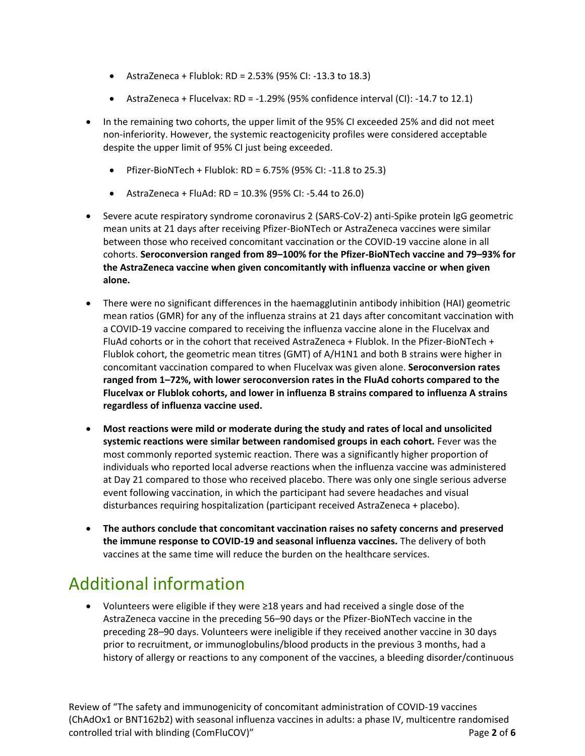- AstraZeneca + Flublok: RD = 2.53% (95% CI: -13.3 to 18.3)
- AstraZeneca + Flucelvax: RD =  $-1.29\%$  (95% confidence interval (CI):  $-14.7$  to 12.1)
- In the remaining two cohorts, the upper limit of the 95% CI exceeded 25% and did not meet non-inferiority. However, the systemic reactogenicity profiles were considered acceptable despite the upper limit of 95% CI just being exceeded.
	- Pfizer-BioNTech + Flublok: RD =  $6.75\%$  (95% CI: -11.8 to 25.3)
	- AstraZeneca + FluAd:  $RD = 10.3\%$  (95% CI: -5.44 to 26.0)
- Severe acute respiratory syndrome coronavirus 2 (SARS-CoV-2) anti-Spike protein IgG geometric mean units at 21 days after receiving Pfizer-BioNTech or AstraZeneca vaccines were similar between those who received concomitant vaccination or the COVID-19 vaccine alone in all cohorts. **Seroconversion ranged from 89–100% for the Pfizer-BioNTech vaccine and 79–93% for the AstraZeneca vaccine when given concomitantly with influenza vaccine or when given alone.**
- There were no significant differences in the haemagglutinin antibody inhibition (HAI) geometric mean ratios (GMR) for any of the influenza strains at 21 days after concomitant vaccination with a COVID-19 vaccine compared to receiving the influenza vaccine alone in the Flucelvax and FluAd cohorts or in the cohort that received AstraZeneca + Flublok. In the Pfizer-BioNTech + Flublok cohort, the geometric mean titres (GMT) of A/H1N1 and both B strains were higher in concomitant vaccination compared to when Flucelvax was given alone. **Seroconversion rates ranged from 1–72%, with lower seroconversion rates in the FluAd cohorts compared to the Flucelvax or Flublok cohorts, and lower in influenza B strains compared to influenza A strains regardless of influenza vaccine used.**
- **Most reactions were mild or moderate during the study and rates of local and unsolicited systemic reactions were similar between randomised groups in each cohort.** Fever was the most commonly reported systemic reaction. There was a significantly higher proportion of individuals who reported local adverse reactions when the influenza vaccine was administered at Day 21 compared to those who received placebo. There was only one single serious adverse event following vaccination, in which the participant had severe headaches and visual disturbances requiring hospitalization (participant received AstraZeneca + placebo).
- **The authors conclude that concomitant vaccination raises no safety concerns and preserved the immune response to COVID-19 and seasonal influenza vaccines.** The delivery of both vaccines at the same time will reduce the burden on the healthcare services.

## Additional information

 Volunteers were eligible if they were ≥18 years and had received a single dose of the AstraZeneca vaccine in the preceding 56–90 days or the Pfizer-BioNTech vaccine in the preceding 28–90 days. Volunteers were ineligible if they received another vaccine in 30 days prior to recruitment, or immunoglobulins/blood products in the previous 3 months, had a history of allergy or reactions to any component of the vaccines, a bleeding disorder/continuous

Review of "The safety and immunogenicity of concomitant administration of COVID-19 vaccines (ChAdOx1 or BNT162b2) with seasonal influenza vaccines in adults: a phase IV, multicentre randomised controlled trial with blinding (ComFluCOV)" Page **2** of **6**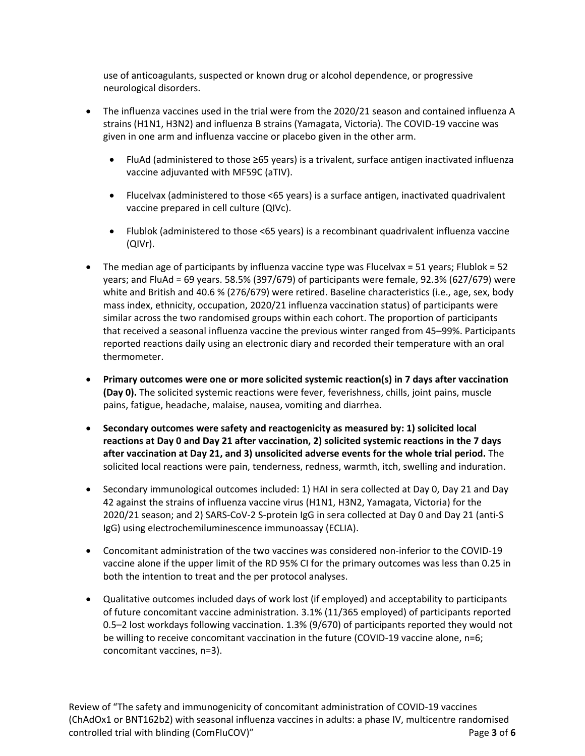use of anticoagulants, suspected or known drug or alcohol dependence, or progressive neurological disorders.

- The influenza vaccines used in the trial were from the 2020/21 season and contained influenza A strains (H1N1, H3N2) and influenza B strains (Yamagata, Victoria). The COVID-19 vaccine was given in one arm and influenza vaccine or placebo given in the other arm.
	- FluAd (administered to those ≥65 years) is a trivalent, surface antigen inactivated influenza vaccine adjuvanted with MF59C (aTIV).
	- Flucelvax (administered to those <65 years) is a surface antigen, inactivated quadrivalent vaccine prepared in cell culture (QIVc).
	- Flublok (administered to those <65 years) is a recombinant quadrivalent influenza vaccine (QIVr).
- $\bullet$  The median age of participants by influenza vaccine type was Flucelvax = 51 years; Flublok = 52 years; and FluAd = 69 years. 58.5% (397/679) of participants were female, 92.3% (627/679) were white and British and 40.6 % (276/679) were retired. Baseline characteristics (i.e., age, sex, body mass index, ethnicity, occupation, 2020/21 influenza vaccination status) of participants were similar across the two randomised groups within each cohort. The proportion of participants that received a seasonal influenza vaccine the previous winter ranged from 45–99%. Participants reported reactions daily using an electronic diary and recorded their temperature with an oral thermometer.
- **Primary outcomes were one or more solicited systemic reaction(s) in 7 days after vaccination (Day 0).** The solicited systemic reactions were fever, feverishness, chills, joint pains, muscle pains, fatigue, headache, malaise, nausea, vomiting and diarrhea.
- **Secondary outcomes were safety and reactogenicity as measured by: 1) solicited local reactions at Day 0 and Day 21 after vaccination, 2) solicited systemic reactions in the 7 days after vaccination at Day 21, and 3) unsolicited adverse events for the whole trial period.** The solicited local reactions were pain, tenderness, redness, warmth, itch, swelling and induration.
- Secondary immunological outcomes included: 1) HAI in sera collected at Day 0, Day 21 and Day 42 against the strains of influenza vaccine virus (H1N1, H3N2, Yamagata, Victoria) for the 2020/21 season; and 2) SARS-CoV-2 S-protein IgG in sera collected at Day 0 and Day 21 (anti-S IgG) using electrochemiluminescence immunoassay (ECLIA).
- Concomitant administration of the two vaccines was considered non-inferior to the COVID-19 vaccine alone if the upper limit of the RD 95% CI for the primary outcomes was less than 0.25 in both the intention to treat and the per protocol analyses.
- Qualitative outcomes included days of work lost (if employed) and acceptability to participants of future concomitant vaccine administration. 3.1% (11/365 employed) of participants reported 0.5–2 lost workdays following vaccination. 1.3% (9/670) of participants reported they would not be willing to receive concomitant vaccination in the future (COVID-19 vaccine alone, n=6; concomitant vaccines, n=3).

Review of "The safety and immunogenicity of concomitant administration of COVID-19 vaccines (ChAdOx1 or BNT162b2) with seasonal influenza vaccines in adults: a phase IV, multicentre randomised controlled trial with blinding (ComFluCOV)" Page **3** of **6**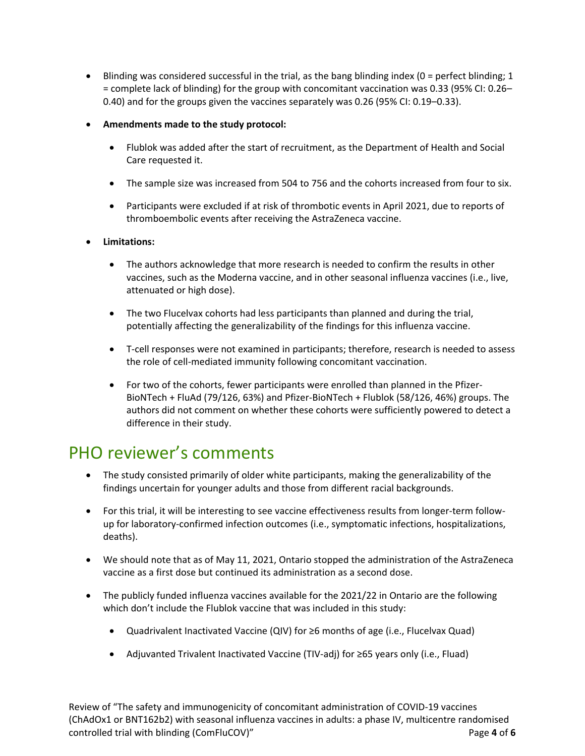- $\bullet$  Blinding was considered successful in the trial, as the bang blinding index (0 = perfect blinding; 1 = complete lack of blinding) for the group with concomitant vaccination was 0.33 (95% CI: 0.26– 0.40) and for the groups given the vaccines separately was 0.26 (95% CI: 0.19–0.33).
- **Amendments made to the study protocol:** 
	- Flublok was added after the start of recruitment, as the Department of Health and Social Care requested it.
	- The sample size was increased from 504 to 756 and the cohorts increased from four to six.
	- Participants were excluded if at risk of thrombotic events in April 2021, due to reports of thromboembolic events after receiving the AstraZeneca vaccine.

#### **Limitations:**

- The authors acknowledge that more research is needed to confirm the results in other vaccines, such as the Moderna vaccine, and in other seasonal influenza vaccines (i.e., live, attenuated or high dose).
- The two Flucelvax cohorts had less participants than planned and during the trial, potentially affecting the generalizability of the findings for this influenza vaccine.
- T-cell responses were not examined in participants; therefore, research is needed to assess the role of cell-mediated immunity following concomitant vaccination.
- For two of the cohorts, fewer participants were enrolled than planned in the Pfizer-BioNTech + FluAd (79/126, 63%) and Pfizer-BioNTech + Flublok (58/126, 46%) groups. The authors did not comment on whether these cohorts were sufficiently powered to detect a difference in their study.

### PHO reviewer's comments

- The study consisted primarily of older white participants, making the generalizability of the findings uncertain for younger adults and those from different racial backgrounds.
- For this trial, it will be interesting to see vaccine effectiveness results from longer-term followup for laboratory-confirmed infection outcomes (i.e., symptomatic infections, hospitalizations, deaths).
- We should note that as of May 11, 2021, Ontario stopped the administration of the AstraZeneca vaccine as a first dose but continued its administration as a second dose.
- The publicly funded influenza vaccines available for the 2021/22 in Ontario are the following which don't include the Flublok vaccine that was included in this study:
	- Quadrivalent Inactivated Vaccine (QIV) for ≥6 months of age (i.e., Flucelvax Quad)
	- Adjuvanted Trivalent Inactivated Vaccine (TIV-adj) for ≥65 years only (i.e., Fluad)

Review of "The safety and immunogenicity of concomitant administration of COVID-19 vaccines (ChAdOx1 or BNT162b2) with seasonal influenza vaccines in adults: a phase IV, multicentre randomised controlled trial with blinding (ComFluCOV)" Page **4** of **6**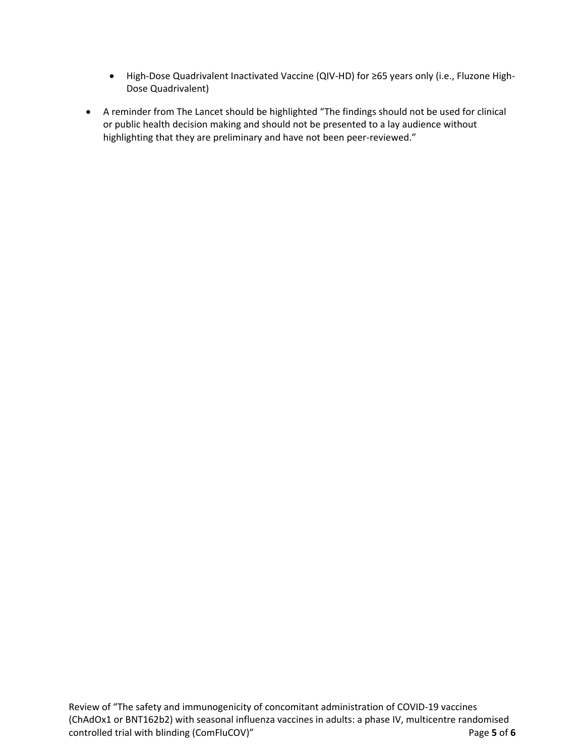- High-Dose Quadrivalent Inactivated Vaccine (QIV-HD) for ≥65 years only (i.e., Fluzone High-Dose Quadrivalent)
- A reminder from The Lancet should be highlighted "The findings should not be used for clinical or public health decision making and should not be presented to a lay audience without highlighting that they are preliminary and have not been peer-reviewed."